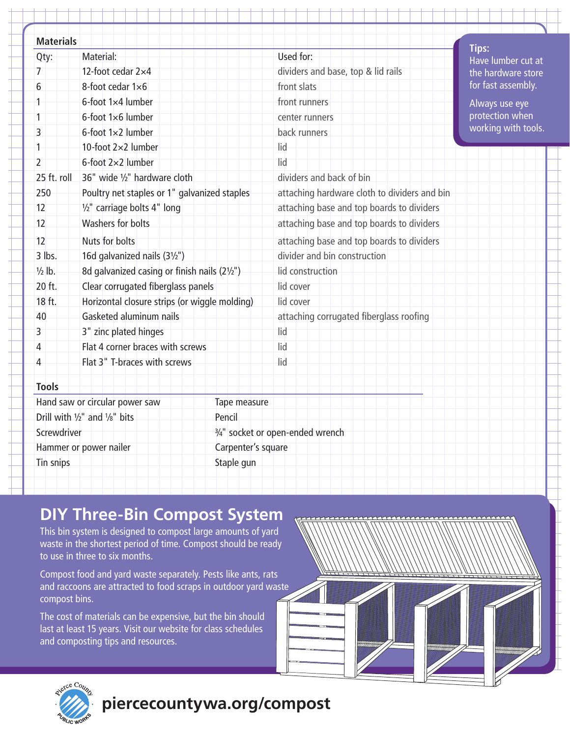| <b>Materials</b>                               |                                               | <b>Tips:</b>                                             |
|------------------------------------------------|-----------------------------------------------|----------------------------------------------------------|
| Qty:                                           | Material:                                     | Used for:<br>Have lumber cut at                          |
| 7                                              | 12-foot cedar 2×4                             | dividers and base, top & lid rails<br>the hardware store |
| 6                                              | 8-foot cedar 1×6                              | for fast assembly.<br>front slats                        |
| 1                                              | 6-foot 1×4 lumber                             | front runners<br>Always use eye                          |
| 1                                              | 6-foot 1×6 lumber                             | protection when<br>center runners                        |
| 3                                              | 6-foot 1×2 lumber                             | working with tools.<br>back runners                      |
| 1                                              | 10-foot $2\times2$ lumber                     | lid                                                      |
| $\overline{2}$                                 | 6-foot 2×2 lumber                             | lid                                                      |
| 25 ft. roll                                    | 36" wide 1/2" hardware cloth                  | dividers and back of bin                                 |
| 250                                            | Poultry net staples or 1" galvanized staples  | attaching hardware cloth to dividers and bin             |
| 12                                             | 1/2" carriage bolts 4" long                   | attaching base and top boards to dividers                |
| 12                                             | Washers for bolts                             | attaching base and top boards to dividers                |
| 12                                             | Nuts for bolts                                | attaching base and top boards to dividers                |
| $3$ lbs.                                       | 16d galvanized nails (31/2")                  | divider and bin construction                             |
| $\frac{1}{2}$ lb.                              | 8d galvanized casing or finish nails (21/2")  | lid construction                                         |
| 20 ft.                                         | Clear corrugated fiberglass panels            | lid cover                                                |
| 18 ft.                                         | Horizontal closure strips (or wiggle molding) | lid cover                                                |
| 40                                             | Gasketed aluminum nails                       | attaching corrugated fiberglass roofing                  |
| 3                                              | 3" zinc plated hinges                         | lid                                                      |
| Δ                                              | Flat 4 corner braces with screws              | lid                                                      |
| 4                                              | Flat 3" T-braces with screws                  | lid                                                      |
| <b>Tools</b>                                   |                                               |                                                          |
| Hand saw or circular power saw<br>Tape measure |                                               |                                                          |
| Drill with 1/2" and 1/8" bits<br>Pencil        |                                               |                                                          |
| Screwdriver                                    |                                               | 3/4" socket or open-ended wrench                         |
| Carpenter's square<br>Hammer or power nailer   |                                               |                                                          |
| Tin snips<br>Staple gun                        |                                               |                                                          |

### **DIY Three-Bin Compost System**

This bin system is designed to compost large amounts of yard waste in the shortest period of time. Compost should be ready to use in three to six months.

Compost food and yard waste separately. Pests like ants, rats and raccoons are attracted to food scraps in outdoor yard waste compost bins.

The cost of materials can be expensive, but the bin should last at least 15 years. Visit our website for class schedules and composting tips and resources.





## **piercecountywa.org/compost**